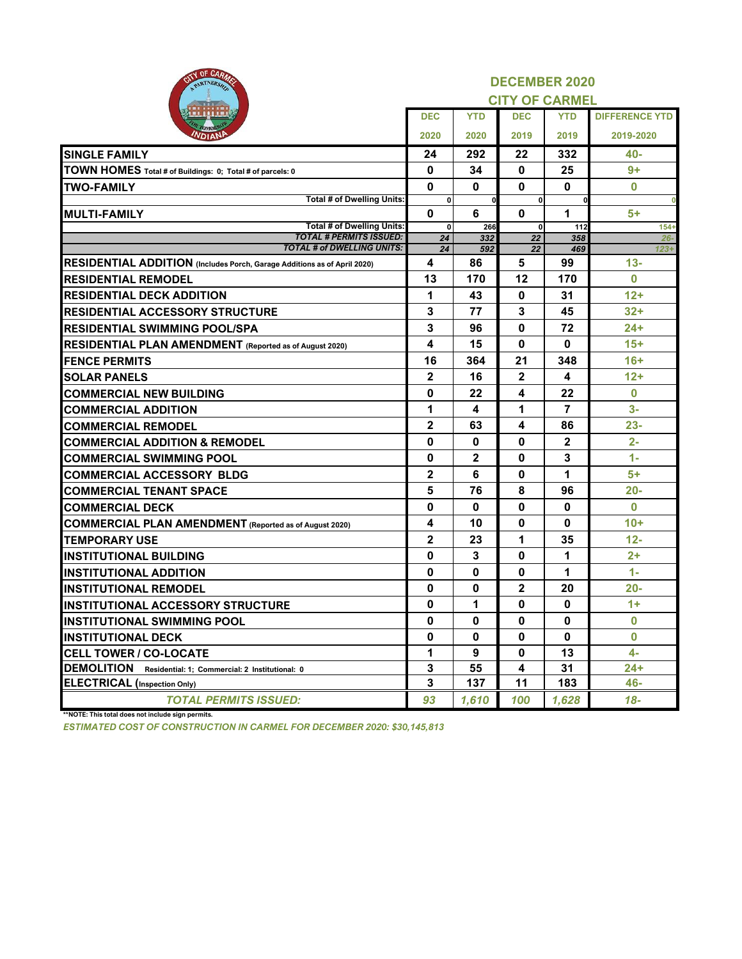| OF UARMS<br>CV)<br>PARTNERSHIP                                           | <b>DECEMBER 2020</b> |              |                       |              |                       |  |  |
|--------------------------------------------------------------------------|----------------------|--------------|-----------------------|--------------|-----------------------|--|--|
|                                                                          |                      |              | <b>CITY OF CARMEL</b> |              |                       |  |  |
|                                                                          | <b>DEC</b>           | <b>YTD</b>   | <b>DEC</b>            | <b>YTD</b>   | <b>DIFFERENCE YTD</b> |  |  |
|                                                                          | 2020                 | 2020         | 2019                  | 2019         | 2019-2020             |  |  |
| <b>SINGLE FAMILY</b>                                                     | 24                   | 292          | 22                    | 332          | 40-                   |  |  |
| TOWN HOMES Total # of Buildings: 0; Total # of parcels: 0                | 0                    | 34           | 0                     | 25           | 9+                    |  |  |
| <b>TWO-FAMILY</b>                                                        | $\bf{0}$             | 0            | $\bf{0}$              | 0            | $\bf{0}$              |  |  |
| Total # of Dwelling Units:                                               | $\pmb{0}$            | 0            | $\mathbf{0}$          | 0            | $\overline{0}$        |  |  |
| <b>IMULTI-FAMILY</b>                                                     | 0                    | 6            | 0                     | 1            | $5+$                  |  |  |
| <b>Total # of Dwelling Units:</b><br><b>TOTAL # PERMITS ISSUED:</b>      | 0<br>24              | 266<br>332   | 0<br>22               | 112<br>358   | $154+$<br>$26 -$      |  |  |
| <b>TOTAL # of DWELLING UNITS:</b>                                        | 24                   | 592          | 22                    | 469          | $123+$                |  |  |
| RESIDENTIAL ADDITION (Includes Porch, Garage Additions as of April 2020) | 4                    | 86           | 5                     | 99           | $13 -$                |  |  |
| <b>RESIDENTIAL REMODEL</b>                                               | 13                   | 170          | 12                    | 170          | $\bf{0}$              |  |  |
| <b>RESIDENTIAL DECK ADDITION</b>                                         | 1                    | 43           | 0                     | 31           | $12+$                 |  |  |
| <b>RESIDENTIAL ACCESSORY STRUCTURE</b>                                   | 3                    | 77           | 3                     | 45           | $32+$                 |  |  |
| <b>RESIDENTIAL SWIMMING POOL/SPA</b>                                     | 3                    | 96           | 0                     | 72           | 24+                   |  |  |
| <b>RESIDENTIAL PLAN AMENDMENT</b> (Reported as of August 2020)           | 4                    | 15           | 0                     | 0            | $15+$                 |  |  |
| <b>FENCE PERMITS</b>                                                     | 16                   | 364          | 21                    | 348          | $16+$                 |  |  |
| <b>SOLAR PANELS</b>                                                      | $\mathbf{2}$         | 16           | $\mathbf{2}$          | 4            | $12+$                 |  |  |
| <b>COMMERCIAL NEW BUILDING</b>                                           | 0                    | 22           | 4                     | 22           | $\bf{0}$              |  |  |
| <b>COMMERCIAL ADDITION</b>                                               | 1                    | 4            | 1                     | 7            | $3-$                  |  |  |
| <b>COMMERCIAL REMODEL</b>                                                | $\mathbf 2$          | 63           | 4                     | 86           | $23 -$                |  |  |
| <b>COMMERCIAL ADDITION &amp; REMODEL</b>                                 | 0                    | 0            | 0                     | $\mathbf{2}$ | $2 -$                 |  |  |
| <b>COMMERCIAL SWIMMING POOL</b>                                          | 0                    | $\mathbf{2}$ | 0                     | 3            | $1 -$                 |  |  |
| <b>COMMERCIAL ACCESSORY BLDG</b>                                         | $\mathbf 2$          | 6            | 0                     | 1            | 5+                    |  |  |
| <b>COMMERCIAL TENANT SPACE</b>                                           | 5                    | 76           | 8                     | 96           | $20 -$                |  |  |
| <b>COMMERCIAL DECK</b>                                                   | 0                    | 0            | 0                     | 0            | $\bf{0}$              |  |  |
| <b>COMMERCIAL PLAN AMENDMENT</b> (Reported as of August 2020)            | 4                    | 10           | 0                     | 0            | $10+$                 |  |  |
| <b>TEMPORARY USE</b>                                                     | $\mathbf{2}$         | 23           | 1                     | 35           | $12 -$                |  |  |
| <b>IINSTITUTIONAL BUILDING</b>                                           | 0                    | 3            | 0                     | 1            | $2+$                  |  |  |
| <b>INSTITUTIONAL ADDITION</b>                                            | 0                    | 0            | 0                     | 1            | $1 -$                 |  |  |
| <b>INSTITUTIONAL REMODEL</b>                                             | 0                    | 0            | $\mathbf 2$           | 20           | 20-                   |  |  |
| <b>INSTITUTIONAL ACCESSORY STRUCTURE</b>                                 | 0                    | 1            | 0                     | 0            | $1+$                  |  |  |
| <b>INSTITUTIONAL SWIMMING POOL</b>                                       | 0                    | 0            | 0                     | 0            | 0                     |  |  |
| <b>INSTITUTIONAL DECK</b>                                                | 0                    | 0            | 0                     | 0            | $\bf{0}$              |  |  |
| <b>CELL TOWER / CO-LOCATE</b>                                            | 1                    | 9            | 0                     | 13           | $4-$                  |  |  |
| <b>DEMOLITION</b><br>Residential: 1; Commercial: 2 Institutional: 0      | 3                    | 55           | 4                     | 31           | $24+$                 |  |  |
| <b>ELECTRICAL</b> (Inspection Only)                                      | 3                    | 137          | 11                    | 183          | 46-                   |  |  |
| <b>TOTAL PERMITS ISSUED:</b>                                             | 93                   | 1,610        | 100                   | 1,628        | 18-                   |  |  |
| **NOTE: This total does not include sign permits.                        |                      |              |                       |              |                       |  |  |

*ESTIMATED COST OF CONSTRUCTION IN CARMEL FOR DECEMBER 2020: \$30,145,813*

CITY OF CARMER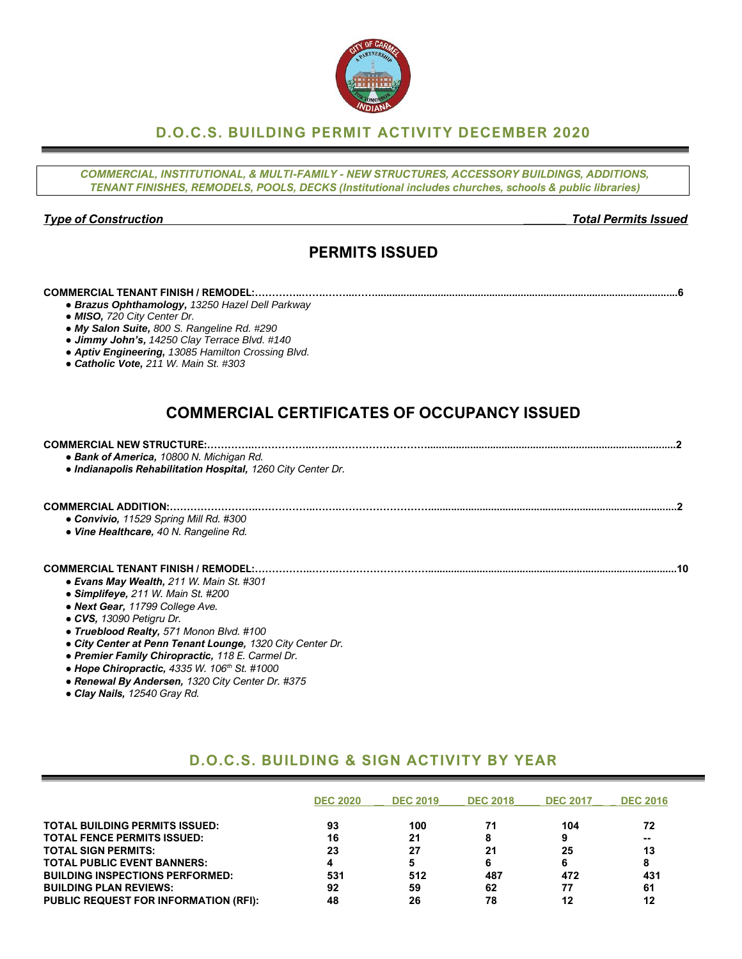## **D.O.C.S. BUILDING PERMIT ACTIVITY DECEMBER 2020**

*COMMERCIAL, INSTITUTIONAL, & MULTI-FAMILY - NEW STRUCTURES, ACCESSORY BUILDINGS, ADDITIONS, TENANT FINISHES, REMODELS, POOLS, DECKS (Institutional includes churches, schools & public libraries)*

#### *Type of Construction \_\_\_\_\_\_\_ Total Permits Issued*

## **PERMITS ISSUED**

#### **COMMERCIAL TENANT FINISH / REMODEL:…………..…….……...……..........................................................................................................6**

- *● Brazus Ophthamology, 13250 Hazel Dell Parkway*
- *● MISO, 720 City Center Dr.*
- *● My Salon Suite, 800 S. Rangeline Rd. #290*
- *● Jimmy John's, 14250 Clay Terrace Blvd. #140*
- *● Aptiv Engineering, 13085 Hamilton Crossing Blvd.*
- *● Catholic Vote, 211 W. Main St. #303*

## **COMMERCIAL CERTIFICATES OF OCCUPANCY ISSUED**

| • Bank of America, 10800 N. Michigan Rd.<br>. Indianapolis Rehabilitation Hospital, 1260 City Center Dr. |  |
|----------------------------------------------------------------------------------------------------------|--|
| • Convivio, 11529 Spring Mill Rd. #300<br>• Vine Healthcare, 40 N. Rangeline Rd.                         |  |
| <b>COMMERCIAL TENANT FINISH / REMODEL:</b>                                                               |  |

- *● Evans May Wealth, 211 W. Main St. #301*
- *● Simplifeye, 211 W. Main St. #200*
- *● Next Gear, 11799 College Ave.*
- *● CVS, 13090 Petigru Dr.*
- *● Trueblood Realty, 571 Monon Blvd. #100*
- *● City Center at Penn Tenant Lounge, 1320 City Center Dr.*
- *● Premier Family Chiropractic, 118 E. Carmel Dr.*
- *● Hope Chiropractic, 4335 W. 106th St. #1000*
- *● Renewal By Andersen, 1320 City Center Dr. #375*
- *● Clay Nails, 12540 Gray Rd.*

## **D.O.C.S. BUILDING & SIGN ACTIVITY BY YEAR**

|                                              | <b>DEC 2020</b> | <b>DEC 2019</b> | <b>DEC 2018</b> | <b>DEC 2017</b> | <b>DEC 2016</b> |
|----------------------------------------------|-----------------|-----------------|-----------------|-----------------|-----------------|
| <b>TOTAL BUILDING PERMITS ISSUED:</b>        | 93              | 100             | 71              | 104             | 72              |
| <b>TOTAL FENCE PERMITS ISSUED:</b>           | 16              | 21              |                 | 9               | --              |
| <b>TOTAL SIGN PERMITS:</b>                   | 23              | 27              | 21              | 25              | 13              |
| <b>TOTAL PUBLIC EVENT BANNERS:</b>           |                 | 5               |                 | 6               |                 |
| <b>BUILDING INSPECTIONS PERFORMED:</b>       | 531             | 512             | 487             | 472             | 431             |
| <b>BUILDING PLAN REVIEWS:</b>                | 92              | 59              | 62              | 77              | 61              |
| <b>PUBLIC REQUEST FOR INFORMATION (RFI):</b> | 48              | 26              | 78              | 12              | 12              |

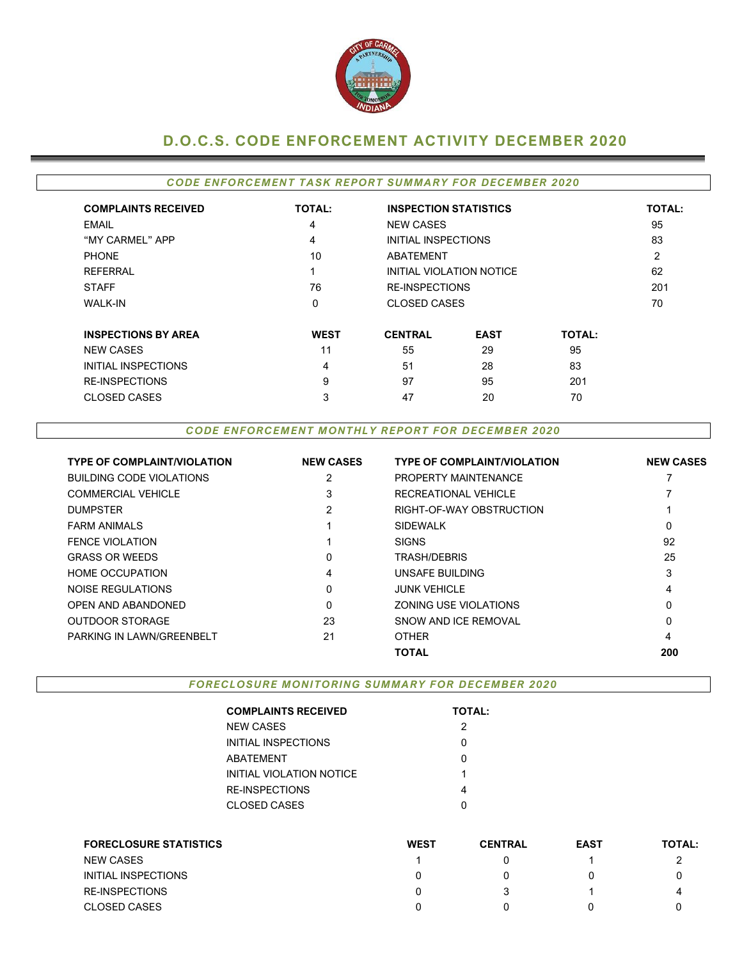

## **D.O.C.S. CODE ENFORCEMENT ACTIVITY DECEMBER 2020**

### **CODE ENFORCEMENT TASK REPORT SUMMARY FOR DECEMBER 2020**

| <b>COMPLAINTS RECEIVED</b> | <b>TOTAL:</b> | <b>INSPECTION STATISTICS</b> |                          |               | <b>TOTAL:</b>  |  |
|----------------------------|---------------|------------------------------|--------------------------|---------------|----------------|--|
| EMAIL                      | 4             | <b>NEW CASES</b>             |                          |               | 95             |  |
| "MY CARMEL" APP            | 4             | INITIAL INSPECTIONS          |                          |               | 83             |  |
| <b>PHONE</b>               | 10            | <b>ABATEMENT</b>             |                          |               | $\overline{2}$ |  |
| <b>REFERRAL</b>            | и             |                              | INITIAL VIOLATION NOTICE |               | 62             |  |
| <b>STAFF</b>               | 76            |                              | <b>RE-INSPECTIONS</b>    |               |                |  |
| <b>WALK-IN</b>             | 0             |                              | <b>CLOSED CASES</b>      |               |                |  |
| <b>INSPECTIONS BY AREA</b> | <b>WEST</b>   | <b>CENTRAL</b>               | <b>EAST</b>              | <b>TOTAL:</b> |                |  |
| <b>NEW CASES</b>           | 11            | 55                           | 29                       | 95            |                |  |
| INITIAL INSPECTIONS        | 4             |                              | 28                       | 83            |                |  |
| <b>RE-INSPECTIONS</b>      | 9             | 97                           | 95                       | 201           |                |  |
| <b>CLOSED CASES</b>        | 3             | 47                           | 20                       | 70            |                |  |

#### **CODE ENFORCEMENT MONTHLY REPORT FOR DECEMBER 2020**

| <b>TYPE OF COMPLAINT/VIOLATION</b> | <b>NEW CASES</b> | <b>TYPE OF COMPLAINT/VIOLATION</b> | <b>NEW CASES</b> |
|------------------------------------|------------------|------------------------------------|------------------|
| <b>BUILDING CODE VIOLATIONS</b>    | 2                | <b>PROPERTY MAINTENANCE</b>        |                  |
| <b>COMMERCIAL VEHICLE</b>          | 3                | RECREATIONAL VEHICLE               |                  |
| <b>DUMPSTER</b>                    | 2                | RIGHT-OF-WAY OBSTRUCTION           |                  |
| <b>FARM ANIMALS</b>                |                  | <b>SIDEWALK</b>                    | 0                |
| FENCE VIOLATION                    |                  | <b>SIGNS</b>                       | 92               |
| <b>GRASS OR WEEDS</b>              | 0                | TRASH/DEBRIS                       | 25               |
| <b>HOME OCCUPATION</b>             | 4                | UNSAFE BUILDING                    | 3                |
| NOISE REGULATIONS                  | 0                | <b>JUNK VEHICLE</b>                | 4                |
| OPEN AND ABANDONED                 | 0                | ZONING USE VIOLATIONS              | 0                |
| <b>OUTDOOR STORAGE</b>             | 23               | SNOW AND ICF REMOVAL               | 0                |
| PARKING IN LAWN/GREENBELT          | 21               | <b>OTHER</b>                       | 4                |
|                                    |                  | <b>TOTAL</b>                       | 200              |

**FORECLOSURE MONITORING SUMMARY FOR DECEMBER 2020** 

| <b>COMPLAINTS RECEIVED</b> | <b>TOTAL:</b> |
|----------------------------|---------------|
| <b>NEW CASES</b>           | 2             |
| INITIAL INSPECTIONS        | O             |
| <b>ABATEMENT</b>           | O             |
| INITIAL VIOLATION NOTICE   | 1             |
| RE-INSPECTIONS             | 4             |
| <b>CLOSED CASES</b>        |               |

| <b>FORECLOSURE STATISTICS</b> | <b>WEST</b> | <b>CENTRAL</b> | <b>EAST</b> | <b>TOTAL:</b> |
|-------------------------------|-------------|----------------|-------------|---------------|
| <b>NEW CASES</b>              |             |                |             |               |
| INITIAL INSPECTIONS           |             |                |             |               |
| <b>RE-INSPECTIONS</b>         |             |                |             | 4             |
| <b>CLOSED CASES</b>           |             |                |             |               |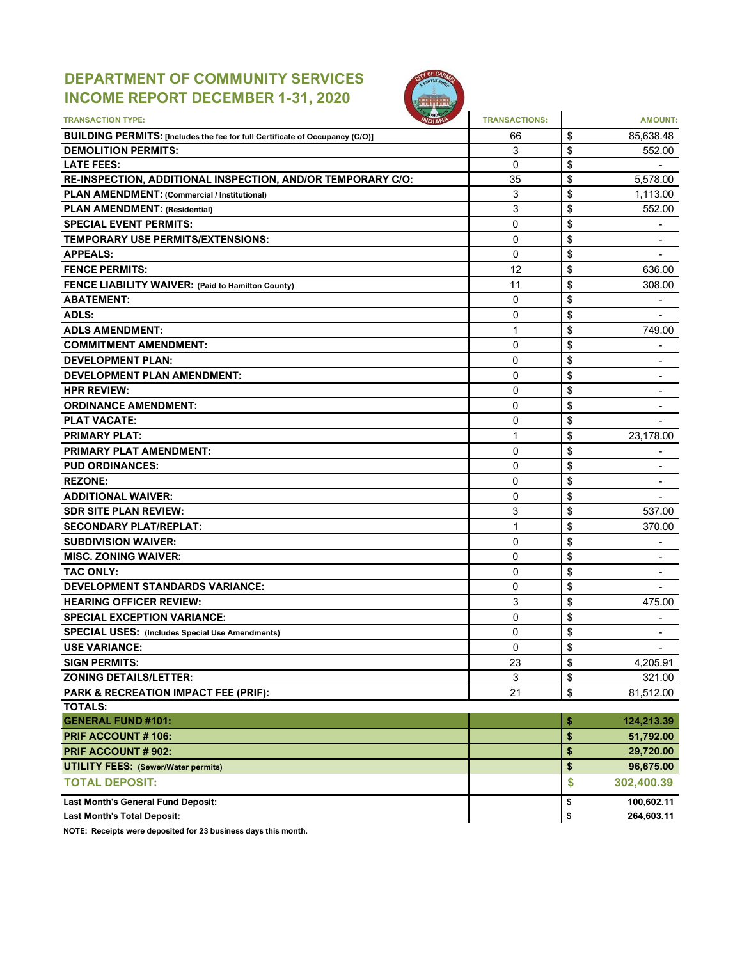# **DEPARTMENT OF COMMUNITY SERVICES INCOME REPORT DECEMBER 1-31, 2020**



| <b>TRANSACTION TYPE:</b>                                                                                          | <b>TRANSACTIONS:</b> |          | <b>AMOUNT:</b>               |
|-------------------------------------------------------------------------------------------------------------------|----------------------|----------|------------------------------|
|                                                                                                                   |                      |          |                              |
| <b>BUILDING PERMITS: [Includes the fee for full Certificate of Occupancy (C/O)]</b><br><b>DEMOLITION PERMITS:</b> | 66<br>3              | \$<br>\$ | 85,638.48<br>552.00          |
| <b>LATE FEES:</b>                                                                                                 | $\overline{0}$       | \$       |                              |
| RE-INSPECTION, ADDITIONAL INSPECTION, AND/OR TEMPORARY C/O:                                                       | 35                   | \$       | 5,578.00                     |
| <b>PLAN AMENDMENT: (Commercial / Institutional)</b>                                                               | 3                    | \$       | 1,113.00                     |
| <b>PLAN AMENDMENT: (Residential)</b>                                                                              | 3                    | \$       | 552.00                       |
| <b>SPECIAL EVENT PERMITS:</b>                                                                                     | 0                    | \$       |                              |
| <b>TEMPORARY USE PERMITS/EXTENSIONS:</b>                                                                          | 0                    | \$       | -                            |
| <b>APPEALS:</b>                                                                                                   | 0                    | \$       | $\overline{\phantom{a}}$     |
| <b>FENCE PERMITS:</b>                                                                                             | 12                   | \$       | 636.00                       |
| FENCE LIABILITY WAIVER: (Paid to Hamilton County)                                                                 | 11                   | \$       | 308.00                       |
| <b>ABATEMENT:</b>                                                                                                 | 0                    | \$       |                              |
| <b>ADLS:</b>                                                                                                      | 0                    | \$       |                              |
| <b>ADLS AMENDMENT:</b>                                                                                            | 1                    | \$       | 749.00                       |
| <b>COMMITMENT AMENDMENT:</b>                                                                                      | $\Omega$             | \$       |                              |
| <b>DEVELOPMENT PLAN:</b>                                                                                          | 0                    | \$       |                              |
| <b>DEVELOPMENT PLAN AMENDMENT:</b>                                                                                | $\mathbf{0}$         | \$       | $\overline{\phantom{0}}$     |
| <b>HPR REVIEW:</b>                                                                                                | $\mathbf{0}$         | \$       |                              |
| <b>ORDINANCE AMENDMENT:</b>                                                                                       | 0                    | \$       |                              |
| <b>PLAT VACATE:</b>                                                                                               | 0                    | \$       | -                            |
| <b>PRIMARY PLAT:</b>                                                                                              | 1                    | \$       | 23,178.00                    |
| <b>PRIMARY PLAT AMENDMENT:</b>                                                                                    | $\Omega$             | \$       |                              |
| <b>PUD ORDINANCES:</b>                                                                                            | $\Omega$             | \$       | $\qquad \qquad \blacksquare$ |
| <b>REZONE:</b>                                                                                                    | 0                    | \$       |                              |
| <b>ADDITIONAL WAIVER:</b>                                                                                         | 0                    | \$       |                              |
| <b>SDR SITE PLAN REVIEW:</b>                                                                                      | 3                    | \$       | 537.00                       |
| <b>SECONDARY PLAT/REPLAT:</b>                                                                                     | 1                    | \$       | 370.00                       |
| <b>SUBDIVISION WAIVER:</b>                                                                                        | $\Omega$             | \$       |                              |
| <b>MISC. ZONING WAIVER:</b>                                                                                       | 0                    | \$       | $\blacksquare$               |
| <b>TAC ONLY:</b>                                                                                                  | $\mathbf{0}$         | \$       |                              |
| <b>DEVELOPMENT STANDARDS VARIANCE:</b>                                                                            | 0                    | \$       | $\overline{\phantom{0}}$     |
|                                                                                                                   | 3                    | \$       | 475.00                       |
| <b>HEARING OFFICER REVIEW:</b>                                                                                    | $\Omega$             |          |                              |
| <b>SPECIAL EXCEPTION VARIANCE:</b>                                                                                | 0                    | \$<br>\$ | $\overline{\phantom{a}}$     |
| <b>SPECIAL USES: (Includes Special Use Amendments)</b>                                                            | $\mathbf 0$          | \$       | ۰                            |
| <b>USE VARIANCE:</b><br><b>SIGN PERMITS:</b>                                                                      | 23                   | \$       | 4,205.91                     |
|                                                                                                                   |                      |          |                              |
| <b>ZONING DETAILS/LETTER:</b>                                                                                     | 3                    | \$       | 321.00                       |
| PARK & RECREATION IMPACT FEE (PRIF):<br><b>TOTALS:</b>                                                            | 21                   | \$       | 81,512.00                    |
| <b>GENERAL FUND #101:</b>                                                                                         |                      | \$       | 124,213.39                   |
| PRIF ACCOUNT #106:                                                                                                |                      | \$       | 51,792.00                    |
| <b>PRIF ACCOUNT # 902:</b>                                                                                        |                      | \$       | 29,720.00                    |
| <b>UTILITY FEES: (Sewer/Water permits)</b>                                                                        |                      | \$       | 96,675.00                    |
| <b>TOTAL DEPOSIT:</b>                                                                                             |                      | \$       |                              |
|                                                                                                                   |                      |          | 302,400.39                   |
| <b>Last Month's General Fund Deposit:</b>                                                                         |                      | \$       | 100,602.11                   |
| <b>Last Month's Total Deposit:</b>                                                                                |                      | \$       | 264,603.11                   |

**NOTE: Receipts were deposited for 23 business days this month.**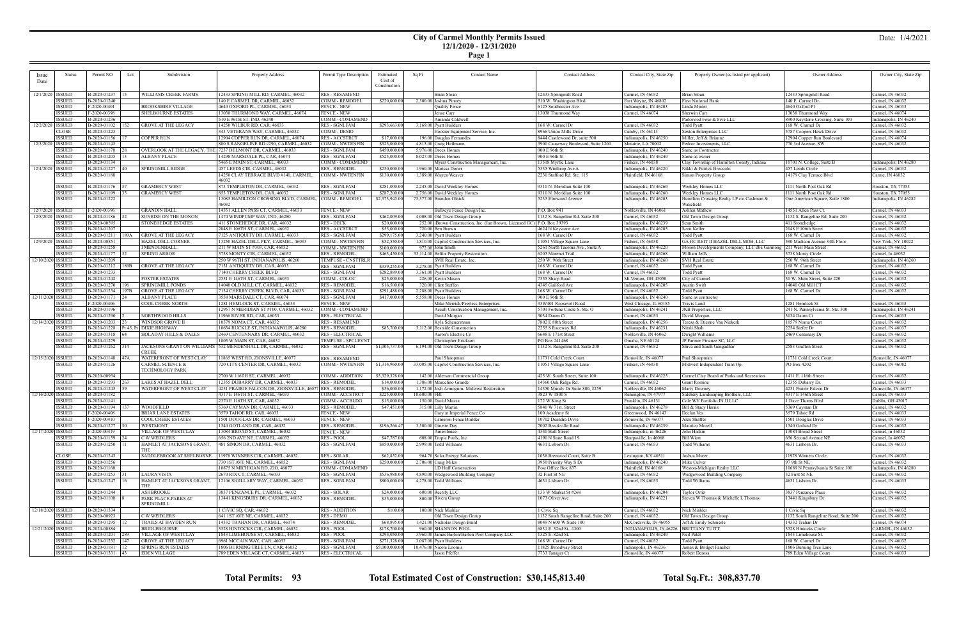### **City of Carmel Monthly Permits Issued 12/1/2020 - 12/31/2020**

**Page 1**

| Issue              | Status             | Permit NO<br>Lot                | Subdivision                          | Property Address                                                | Permit Type Description                      | Estimated                | Sq Ft         | <b>Contact Name</b>                                     | <b>Contact Address</b>                             | Contact City, State Zip                                           | Property Owner (as listed per applicant)    | Owner Address                                           | Owner City, State Zip                |
|--------------------|--------------------|---------------------------------|--------------------------------------|-----------------------------------------------------------------|----------------------------------------------|--------------------------|---------------|---------------------------------------------------------|----------------------------------------------------|-------------------------------------------------------------------|---------------------------------------------|---------------------------------------------------------|--------------------------------------|
| Date               |                    |                                 |                                      |                                                                 |                                              | Cost of                  |               |                                                         |                                                    |                                                                   |                                             |                                                         |                                      |
|                    |                    |                                 |                                      |                                                                 |                                              | Construction             |               |                                                         |                                                    |                                                                   |                                             |                                                         |                                      |
|                    | 12/1/2020   ISSUED | B-2020-01237                    | WILLIAMS CREEK FARMS                 | 2433 SPRING MILL RD, CARMEL, 46032                              | <b>RES-RESAMEND</b>                          |                          |               | Brian Sloan                                             | 12433 Springmill Road                              | Carmel, IN 46032                                                  | Brian Sloan                                 | 12433 Springmill Road                                   | Carmel, IN 46032                     |
|                    | <b>ISSUED</b>      | B-2020-01240                    |                                      | 140 E CARMEL DR, CARMEL, 46032                                  | COMM - REMODEL                               | \$220,000.00             |               | 2,300.00 Joshua Pinney                                  | 510 W. Washington Blvd                             | Fort Wayne, IN 46802                                              | First National Bank                         | 140 E. Carmel Dr.                                       | Carmel, IN 46032                     |
|                    | <b>ISSUED</b>      | F-2020-00401                    | BROOKSHIRE VILLAGE                   | 4640 OXFORD PL, CARMEL, 46033                                   | <b>FENCE - NEW</b>                           |                          |               | Quality Fence                                           | 6125 Southeaster Ave                               | Indianapolis, IN 46203                                            | Linda Minter                                | 4640 Oxford Pl                                          | Carmel, IN 46033                     |
|                    | <b>ISSUED</b>      | F-2020-00398                    | <b>SHELBOURNE ESTATES</b>            | 13038 THURMOND WAY, CARMEL, 46074                               | <b>FENCE - NEW</b>                           |                          |               | Jenae Carr                                              | 13038 Thurmond Way                                 | Carmel, IN 46074                                                  | Sherwin Carr                                | 13038 Thurmond Way                                      | Carmel, IN 46074                     |
|                    | <b>ISSUEL</b>      | B-2020-01236                    |                                      | 510 E 96TH ST, IND, 46240                                       | COMM - COMAMEND                              |                          |               | Amanda Caldwell                                         |                                                    |                                                                   | Parkwood Four & Five LLC                    | 8900 Keystone Crossing, Suite 100                       | Indianapolis, IN 46240               |
| 12/2/2020   ISSUED |                    | B-2020-01102   152              | GROVE AT THE LEGACY                  | 14250 WILBUR RD, CAR, 46033                                     | <b>RES - SGNLFAM</b>                         | \$293,663.00             |               | 3,169.00 Pyatt Builders                                 | 168 W. Carmel Dr                                   | Carmel, IN 46032                                                  | Todd Pyatt                                  | 168 W. Carmel Dr                                        | Carmel, IN 46032                     |
|                    | CLOSE              | B-2020-01223                    |                                      | 343 VETERANS WAY, CARMEL, 46032                                 | COMM - DEMO                                  |                          |               | Hoosier Equipment Service, Inc.                         | 8966 Union Mills Drive                             | Camby, IN 46113                                                   | Sexton Enterprises LLC                      | 5787 Coopers Hawk Drive                                 | Carmel, IN 46032                     |
|                    | <b>ISSUED</b>      | B-2020-01156                    | <b>COPPER RUN</b>                    | 12904 COPPER RUN DR, CARMEL, 46074                              | <b>RES-ACCSTRCT</b>                          | \$17,000.00              |               | 196.00 Douglas Fernandes                                | 8444 Castlewood Dr, suite 500                      | Indianapolis, IN 46250                                            | Miller, Jeff & Brianne                      | 12904 Copper Run Boulevard                              | Carmel, IN 46074                     |
| 12/3/2020   ISSUED |                    | B-2020-01145                    |                                      | 800 S RANGELINE RD #290, CARMEL, 4603                           | <b>COMM - NWTENFIN</b>                       | \$325,000.00             |               | 4,815.00 Craig Heilmann                                 | 3900 Causeway Boulevard, Suite 1200                | Metairie, LA 70002                                                | Pedcor Investments, LLC                     | 770 3rd Avenue, SW                                      | Carmel, IN 46032                     |
|                    | ISSUED             | B-2020-01170 28                 |                                      | OVERLOOK AT THE LEGACY, THE 7237 DELMONT DR, CARMEL, 46033      | <b>RES - SGNLFAM</b>                         | \$450,000.00             |               | 5.976.00 Drees Homes                                    | 900 E 96th St                                      | Indianapolis, IN 46240                                            | Same as Contractor                          |                                                         |                                      |
|                    | <b>ISSUED</b>      | B-2020-01205   13               | ALBANY PLACE                         | 14298 MARSDALE PL, CAR, 46074                                   | RES - SGNLFAM                                | \$525,000.00             |               | 8,027.00 Drees Homes                                    | 900 E 96th St                                      | Indianapolis, IN 46240                                            | Same as owner                               |                                                         |                                      |
|                    | <b>ISSUED</b>      | B-2020-01134                    |                                      | 5465 E MAIN ST, CARMEL, 46033                                   | COMM - COMAMEND                              |                          |               | Myers Construction Management, Inc.                     | 13518 Myrtle Lane                                  | Fishers, IN 46038                                                 | Clay Township of Hamilton County, Indiana   | 10701 N. College, Suite B                               | Indianapolis, IN 46280               |
| 12/4/2020 ISSUED   |                    | B-2020-01227 40                 | SPRINGMILL RIDGE                     | 457 LEEDS CIR, CARMEL, 46032                                    | <b>RES - REMODE</b>                          | \$250,000.00             |               | 1,960.00 Marissa Doner                                  | 5335 Winthrop Ave A                                | Indianapolis, IN 46220                                            | Nikki & Patrick Broccolo                    | 457 Leeds Circle                                        | Carmel, IN 46032                     |
|                    | ISSUED             | B-2020-01188                    |                                      | 14250 CLAY TERRACE BLVD #140, CARMEL,<br>46032                  | <b>COMM - NWTENFIN</b>                       | \$130,000.00             |               | 1,389.00 Warren Weaver                                  | 2230 Stafford Rd. Ste. 115                         | Plainfield, IN 46168                                              | Simon Property Group                        | 14179 Clay Terrace Blvd                                 | Carme, IN 46032                      |
|                    | ISSUED             | B-2020-01176 37                 | <b>GRAMERCY WEST</b>                 | 873 TEMPLETON DR, CARMEL, 46032                                 | <b>RES - SGNLFAM</b>                         | \$281,000.00             |               | 2,245.00 David Weekley Homes                            | 9310 N. Meridian Suite 100                         |                                                                   | Weekley Homes LLC                           | 1111 North Post Oak Rd                                  | Houston, TX 77055                    |
|                    | ISSUED             | B-2020-01199 35                 | <b>GRAMERCY WEST</b>                 | 853 TEMPLETON DR, CAR, 46032                                    | <b>RES - SGNLFAM</b>                         | \$287,200.00             |               | 2,756.00 David Weekley Homes                            | 9310 N. Meridian Suite 100                         | Indianapolis, IN 46260<br>Indianapolis, IN 46260                  | Weekley Homes LLC                           | 1111 North Post Oak Rd                                  | Houston, TX 77055                    |
|                    | <b>ISSUED</b>      | B-2020-01222                    |                                      | 13085 HAMILTON CROSSING BLVD, CARMEL,                           | COMM - REMODEL                               | \$2,373,945.00           |               | 75,377.00 Brandon Olnick                                | 5235 Elmwood Avenue                                | Indianapolis, IN 46203                                            | Hamilton Crossing Realty LP c/o Cushman &   | One American Square, Suite 1800                         | Indianapolis, IN 46282               |
|                    |                    |                                 |                                      | 46032                                                           |                                              |                          |               |                                                         |                                                    |                                                                   | Wakefield                                   |                                                         |                                      |
| 12/7/2020   ISSUED |                    | F-2020-00396                    | <b>GRANDIN HALL</b>                  | 14551 ALLEN PASS CT, CARMEL, 46033                              | <b>FENCE - NEW</b>                           |                          |               | Bullseye Fence Design Inc.                              | P.O. Box 941                                       | Noblesville, IN 46061                                             | Ashlen Mathew                               | 14551 Allen Pass Ct.                                    | Carmel, IN 46033                     |
| 12/8/2020   ISSUED |                    | B-2020-01186                    | SUNRISE ON THE MONON                 | 1474 WINDPUMP WAY, IND, 46280                                   | <b>RES - SGNLFAM</b>                         | \$462,009.00             |               | 4,008.00 Old Town Design Group                          | 1132 S. Rangeline Rd. Suite 200                    | Carmel, IN 46032                                                  | Old Town Design Group                       | 1132 S. Rangeline Rd. Suite 200                         | Carmel, IN 46032                     |
|                    | ISSUED             | B-2020-00595                    | STONEHEDGE ESTATES                   | 411 STONEHEDGE DR, CAR, 46032                                   | RES - DECK                                   | \$20,000.00              |               | 252.00 iBrown Construction, Inc (Ian Brown, Licensed GC | P.O. Box 39393                                     | Indianapolis, IN 46239                                            | Sean Smith                                  | 411 Stonehedge                                          | Carmel, IN 46032                     |
|                    | <b>ISSUED</b>      | B-2020-01207                    |                                      | 2048 E 106TH ST, CARMEL, 46032                                  | <b>RES-ACCSTRCT</b>                          | \$55,000.00              |               | 720.00 Ben Brown                                        | 4624 N Keystone Ave                                | Indianapolis, IN 46205                                            | Scott Keller                                | 2048 E 106th Street                                     | Carmel, IN 46032                     |
|                    | <b>ISSUED</b>      | B-2020-01211   189A             | <b>GROVE AT THE LEGACY</b>           | 7125 ANTIQUITY DR, CARMEL, 46033                                | <b>RES - SGNLFAM</b>                         | \$299,175.00             |               | 3.240.00 Pyatt Builders                                 | 168 W. Carmel Dr                                   | Carmel, IN 46032                                                  | <b>Todd Pyatt</b>                           | 168 W. Carmel Dr                                        | Carmel, IN 46032                     |
| 12/9/2020   ISSUED |                    | B-2020-00851                    | HAZEL DELL CORNER                    | 13250 HAZEL DELL PKY, CARMEL, 4603.                             | <b>COMM - NWTENFIN</b>                       | \$52,550.00              |               | 1,810.00 Capitol Construction Services, Inc.            | 11051 Village Square Lane                          | Fishers, IN 46038                                                 | GA HC REIT II HAZEL DELL MOB, LLC           | 590 Madison Avenue 34th Floor                           | New York, NY 10022                   |
|                    | <b>ISSUED</b>      | B-2020-01258                    | I MENDENHALL                         | 211 W MAIN ST #303, CAR, 46032                                  | COMM - NWTENFIN                              | \$100,000.00             |               | 972.00 John Smith                                       | 5261 North Tacoma Ave., Suite A                    | Indianapolis, IN 46220                                            | Monon Developments Company, LLC dba Garmong | 211 West Main Street                                    | Carmel, IN 46032                     |
|                    | ISSUED             | B-2020-01177   52               | <b>SPRING ARBOR</b>                  | 3738 MONTY CIR, CARMEL, 46032                                   | <b>RES - REMODEL</b>                         | \$463,450.00             |               | 33,114.00 Belfor Property Restoration                   | 6205 Morenci Trail                                 | Indianapolis, IN 46268                                            | William Jeffs                               | 3738 Monty Circle                                       | Carmel, In 46032                     |
| 12/10/2020 ISSUED  |                    | B-2020-01209                    |                                      | 250 W 96TH ST, INDIANAPOLIS, 46260                              | TEMPUSE - CNSTTRL                            |                          |               | SVH Real Estate, Inc                                    | 250 W. 96th Street                                 | Indianapolis, IN 46260                                            | <b>SVH Real Estate</b>                      | 250 W. 96th Street                                      | Indianapolis, IN 46260               |
|                    | ISSUED             | B-2020-01212   189B             | <b>GROVE AT THE LEGACY</b>           | 7131 ANTIQUITY DR, CAR, 46033                                   | <b>RES - SGNLFAM</b>                         | \$339,255.00             |               | 3,278.00 Pyatt Builders                                 | 168 W. Carmel Dr                                   | Carmel, IN 46032                                                  | Todd Pyatt                                  | 168 W. Carmel Dr                                        | Carmel, IN 46032                     |
|                    | <b>ISSUED</b>      | B-2020-01233                    |                                      | 7140 CHERRY CREEK BLVD                                          | <b>RES - SGNLFAM</b>                         | \$282,889.00             |               | 3,361.00 Pyatt Builders                                 | 168 W. Carmel Dr                                   | Carmel, IN 46032                                                  | Todd Pyatt                                  | 168 W. Carmel Dr                                        | Carmel, IN 46032                     |
|                    | ISSUED             | B-2020-01242                    | <b>FOSTER ESTATES</b>                | 2551 E 146TH ST, CARMEL, 46033                                  | COMM - COLOC                                 | \$25,000.00              |               | 226.00 Kevin Mason                                      | 7555 Sharp Road                                    | Mt. Vernon, OH 43050                                              | City of Carmel                              | 30 W. Main Street, Suite 220                            | Carmel, IN 46032                     |
|                    | <b>ISSUED</b>      | B-2020-01270<br>l 196           | <b>SPRINGMILL PONDS</b>              | 14040 OLD MILL CT, CARMEL, 46032                                | <b>RES - REMODEI</b>                         | \$16,500.00              |               | 320.00 Clint Steffen                                    | 4345 Guilford Ave                                  | Indianapolis, IN 46205                                            | Austin Swift                                | 14040 Old Mill CT                                       | Carmel, IN 46032                     |
|                    | <b>ISSUED</b>      | B-2020-01234   197B             | <b>GROVE AT THE LEGACY</b>           | 7134 CHERRY CREEK BLVD, CAR, 46033                              | <b>RES - SGNLFAM</b>                         | \$291,488.00             |               | 2,288.00 Pyatt Builders                                 | 168 W. Carmel Dr                                   | Carmel, IN 46032                                                  | <b>Todd Pyatt</b>                           | 168 W. Carmel Dr                                        | Carmel, IN 46032                     |
| 12/11/2020 ISSUED  |                    | B-2020-01171                    | ALBANY PLACE                         | 3558 MARSDALE CT, CAR, 46074                                    | <b>RES - SGNLFAM</b>                         | \$417,000.00             |               | 5,558.00 Drees Homes                                    | 900 E 96th St                                      | Indianapolis, IN 46240                                            | Same as contractor                          |                                                         |                                      |
|                    | ISSUED             | F-2020-00406                    | <b>COOL CREEK NORTH</b>              | 1281 HEMLOCK ST, CARMEL, 46033                                  | <b>FENCE - NEW</b>                           |                          |               | Mike Merrick/Peerless Enterprises                       | 33W401 Roosevelt Road                              | West Chicago, IL 60185                                            | Travis Land                                 | 1281 Hemlock St                                         | Carmel, IN 46033                     |
|                    | <b>ISSUED</b>      | B-2020-01196                    |                                      | 12957 N MERIDIAN ST #100, CARMEL, 46032                         | COMM - COMAMEND                              |                          |               | Accell Construction Management, Inc.                    | 5701 Fortune Circle S. Ste. O                      | Indianapolis, IN 46241                                            | JKB Properties, LLC                         | 241 N. Pennsylvania St. Ste. 300                        | Indianapolis, IN 46241               |
|                    | <b>ISSUED</b>      | B-2020-01290                    | NORTHWOOD HILLS                      | 11966 RIVER RD, CAR, 46033                                      | <b>RES - ELECTRICAL</b>                      |                          |               | David Morgan                                            | 3034 Daum Ct                                       | Carmel, IN 46033                                                  | David Morgan                                | 3034 Daum Ct                                            | Carmel, IN 46033                     |
| 12/14/2020 ISSUED  |                    | $\overline{B-2020-01203}$ 23    | <b>WINDSOR GROVE II</b>              | 10579 NOMA CT, CAR, 46032                                       | <b>RES - RESAMEND</b>                        |                          |               | Kyla Scheuermann                                        | 7802 E 88th Street                                 | Indianapolis, IN 46256                                            | Teresa & Etienne Van Niekerk                | 10579 Noma Court                                        | Carmel, IN 46032                     |
|                    | <b>ISSUED</b>      |                                 |                                      | 10634 RUCKLE ST, INDIANAPOLIS, 46280                            | <b>RES - REMODEL</b>                         | \$83,700.00              |               | 3,112.00 Bestside Construction                          | 2255 S Raceway Rd                                  | Indianapolis, IN 46231                                            | Nirali Shah                                 | 2254 Stefee Dr                                          | Carmel, IN 46037                     |
|                    | ISSUED             | B-2020-01318 64                 | HOLADAY HILLS & DALES                | 2469 CENTENNARY DR, CARMEL, 46032                               | <b>RES - ELECTRICAL</b>                      |                          |               | Aaron's Electric Co                                     | 6648 E 171st Street                                | Noblesville, IN 46062                                             | Dwight Williams                             | 2469 Centenary Dr                                       | Carmel, IN 46032                     |
|                    | <b>ISSUED</b>      | B-2020-01279                    |                                      | 1005 W MAIN ST, CAR, 46032                                      | TEMPUSE - SPCLEVNT                           |                          |               | Christopher Erickson                                    | PO Box 241468                                      | Omaha, NE 68124                                                   | JP Farmer Finance SC, LLC                   |                                                         | Carmel, IN 46032                     |
|                    | ISSUED             | B-2020-01262 314                |                                      | JACKSONS GRANT ON WILLIAMS 532 MENDENHALL DR, CARMEL, 46032     | <b>RES - SGNLFAM</b>                         | \$1,005,737.00           |               | 6,194.00 Old Town Design Group                          | 1132 S. Rangeline Rd. Suite 200                    | Carmel, IN 46032                                                  | Shiva and Sarah Gangadhar                   | 2583 Grafton Street                                     | Carmel, IN 46032                     |
|                    |                    |                                 | CREEK                                |                                                                 |                                              |                          |               |                                                         |                                                    |                                                                   |                                             |                                                         |                                      |
| 12/15/2020 ISSUED  |                    | B-2020-01148   47A              | WATERFRONT OF WEST CLAY              | 11865 WEST RD, ZIONSVILLE, 46077                                | <b>RES-RESAMEND</b>                          |                          |               | Paul Shoopman                                           | 11731 Cold Creek Court                             | Zionsville, IN 46077                                              | Paul Shoopman                               | 11731 Cold Creek Court                                  | Zionsville, IN 46077                 |
|                    | ISSUED             | B-2020-01126                    | CARMEL SCIENCE &<br>TECHNOLOGY PARK  | 720 CITY CENTER DR, CARMEL, 46032                               | COMM - NWTENFIN                              | \$1,314,960.00           |               | 33,005.00 Capitol Construction Services, Inc.           | 11051 Village Square Lane                          | Fishers, IN 46038                                                 | Midwest Independent Trans Op.               | PO Box 4202                                             | Carmel, IN 46082                     |
|                    | ISSUED             | B-2020-00934                    |                                      | 2700 W 116TH ST, CARMEL, 46032                                  | COMM - ADDITION                              | \$5,329,328.00           |               | 142.00 Alderson Commercial Group                        | 425 W. South Street, Suite 100                     | Indianapolis, IN 46225                                            | Carmel Clay Board of Parks and Recreation   | 1411 E. 116th Street                                    | Carmel, IN 46032                     |
|                    | <b>ISSUED</b>      | B-2020-01293<br>1263            | LAKES AT HAZEL DELL                  | 12355 DUBARRY DR, CARMEL, 46033                                 | <b>RES - REMODEI</b>                         | \$14,000.00              |               | 1,386.00 Marcelino Grande                               | 14360 Oak Ridge Rd.                                | Carmel, IN 46032                                                  | <b>Grant Romine</b>                         | 12355 Dubarry Dr.                                       | Carmel, IN 46033                     |
|                    | <b>ISSUED</b>      | B-2020-01245   59               | WATERFRONT OF WEST CLAY              | 4251 PRAIRIE FALCON DR, ZIONSVILLE, 46077 RES - REMODEI         |                                              | \$56,000.00              |               | 1,172.00 Josh Armogum- Midwest Restoration              | 14350 Mundy Dr Suite 800, #259                     | Noblesville, IN 46062                                             | Marty Downey                                | 4251 Prairie Falcon Dr                                  | Zionsville, IN 46077                 |
| 12/16/2020 ISSUED  |                    | B-2020-01182                    |                                      | 4317 E 146TH ST, CARMEL, 46033                                  | COMM - ACCSTRCT                              | \$225,000.00             | 10,600.00 FBI |                                                         | 3823 W 1800 S                                      | Remington, IN 47977                                               | Salsbery Landscaping Brothers, LLC          | 4317 E 146th Street                                     | Carmel, IN 46033                     |
|                    | <b>ISSUED</b>      | B-2020-01141                    |                                      | 2370 E 116TH ST, CAR, 46032                                     | COMM - ACCBLDG                               | \$15,000.00              |               | 150.00 David Mazza                                      | 172 W King St                                      | Franklin, IN 46131                                                | Cole WY Portfolio IN II LLC                 | l Dave Thoms Blvd                                       | Dublin, OH 43017                     |
|                    | <b>ISSUED</b>      | B-2020-01194   137              | WOODFIELD                            | 5369 CAYMAN DR, CARMEL, 46033                                   | <b>RES - REMODEL</b>                         | \$47,451.00              |               | 315.00 Lilly Martin                                     | 5840 W 71st. Street                                | Indianapolis, IN 46278                                            | Bill & Stacy Harris                         | 5369 Cayman Dr                                          | Carmel, IN 46032                     |
|                    | <b>ISSUED</b>      | F-2020-00408                    | <b>BRIAR LANE ESTATES</b>            | 3579 TAHOE RD, CAR, 4603.                                       | FENCE - NEW                                  |                          |               | Gary at Imperial Fence Co                               | 100 Academy St                                     | Greenwood, IN 46143                                               | Declan Vea                                  | 3579 Tahoe Rd                                           | Carmel, IN 46033                     |
|                    | ISSUED             | F-2020-00410                    | COOL CREEK ESTATES                   | 1501 DOUGLAS DR, CARMEL, 46033                                  | <b>FENCE - NEW</b>                           |                          |               | Cameron Fence Builder                                   | 10702 Deandra Drive                                | Zionsville, IN 46077                                              | Alex Shaffer                                | 1501 Douglas Drive                                      | Carmel, IN 46033                     |
|                    | ISSUED             | B-2020-01277 30                 | <b>WESTMONT</b>                      | 1540 GOTLAND DR, CAR, 46032                                     | <b>RES - REMODEL</b>                         | \$196,266.47             |               | 3,500.00 Ginette Day                                    | 7002 Brookville Road                               | Indianapolis, IN 46239                                            | Maurico Morell                              | 1540 Gotland Dr                                         | Carmel, IN 46032                     |
| 12/17/2020 ISSUED  |                    | F-2020-00419                    | VILLAGE OF WESTCLAY                  | 13084 BROAD ST, CARMEL, 46032                                   | <b>FENCE - NEW</b>                           |                          |               | Amerifence                                              | 4340 Hull Street                                   | Indianapolis, in 46226                                            | John Haskin                                 | 13084 Broad Street                                      | Carmel, in 46032                     |
|                    | ISSUED             | $B-2020-01159$ 24               | C W WEIDLERS                         | 656 2ND AVE NE, CARMEL, 46032                                   | RES - POOL                                   | \$47,787.00              |               | 608.00 Tropic Pools, Inc.                               | 4190 N State Road 19                               | Sharpsville, In 46068                                             | <b>Bill Wiett</b>                           | 656 Second Avenue NE                                    | Carmel, In 46032                     |
|                    | <b>ISSUED</b>      | B-2020-01250 11                 | HAMLET AT JACKSONS GRANT,            | 481 SIMON DR, CARMEL, 46032                                     | <b>RES - SGNLFAM</b>                         | \$850,000.00             |               | 2,999.00 Todd Williams                                  | 4631 Lisborn Dr.                                   | Carmel, IN 46033                                                  | <b>Todd Williams</b>                        | 4631 Lisborn Dr.                                        | Carmel, IN 46033                     |
|                    |                    |                                 | THE                                  |                                                                 |                                              |                          |               |                                                         |                                                    |                                                                   |                                             |                                                         |                                      |
|                    | <b>CLOSE</b>       | B-2020-01243                    | SADDLEBROOK AT SHELBORNE             | 11978 WINNERS CIR, CARMEL, 46032                                | <b>RES - SOLAR</b>                           | \$62,852.00              |               | 964.70 Solar Energy Solutions                           | 1038 Brentwod Court, Suite B                       | Lexington, KY 40511                                               | Joshua Murer                                | 11978 Winners Circle                                    | Carmel, IN 46032                     |
|                    | ISSUED             | B-2020-01256                    |                                      | 730 1ST AVE NE, CARMEL, 46032                                   | <b>RES - SGNLFAM</b>                         | \$250,000.00             |               | 2,706.00 Craig Miles                                    | 3950 Priority Way S Dr                             | Indianapolis, IN 46240                                            | Mike Culver                                 | 97 9th St NE                                            | Carmel, IN 46032                     |
|                    | ISSUED             | B-2020-01160                    |                                      | 10875 N MICHIGAN RD, ZIO, 46077                                 | COMM - COMAMEND                              |                          |               | LD Huff Construction                                    | Post Office Box 837                                | Plainfield, IN 46168                                              | Weston-Michigan Realty LLC                  | 10689 N Pennsylvania St Suite 100                       | Indianapolis, IN 46280               |
|                    | <b>ISSUED</b>      | B-2020-01253                    | LAURA VISTA                          | 2670 RIX CT, CARMEL, 46033                                      | <b>RES - SGNLFAM</b>                         | \$536,988.00             |               | 4,890.00 Wedgewood Building Company                     | 32 First St NE                                     | Carmel, IN 46032                                                  | Wedgewood Building Company                  | 32 First St NE                                          | Carmel, IN 46032                     |
|                    | ISSUED             | B-2020-01247   16               | HAMLET AT JACKSONS GRANT,            | 12106 SIGILLARY WAY, CARMEL, 46032                              | <b>RES - SGNLFAM</b>                         | $\overline{$800,000.00}$ |               | 4,278.00 Todd Williams                                  | 4631 Lisborn Dr.                                   | Carmel, IN 46033                                                  | Todd Williams                               | 4631 Lisborn Dr.                                        | Carmel, IN 46033                     |
|                    |                    |                                 | THE                                  |                                                                 |                                              |                          |               |                                                         |                                                    |                                                                   |                                             |                                                         |                                      |
|                    | ISSUED             | B-2020-01244                    | <b>ASHBROOKE</b>                     | 3837 PENZANCE PL, CARMEL, 46032                                 | RES - SOLAR                                  | \$24,000.00              |               | 600.00 Rectify LLC                                      | 133 W Market St #268                               | Indianapolis, IN 46204                                            | Taylor Ortiz                                | 3837 Penzance Place                                     | Carmel, IN 46032                     |
|                    | <b>ISSUED</b>      | B-2020-01100 8                  | PARK PLACE-PARKS AT                  | 13441 KINGSBURY DR, CARMEL, 46032                               | <b>RES - REMODEL</b>                         | \$35,000.00              |               | 800.00 Rivera Group                                     | 1073 Oliver Ave                                    | Indianapolis, IN 46221                                            | Steven W Thomas & Michelle L Thomas         | 13441 Kingsbury Dr                                      | Carmel, IN 46032                     |
|                    |                    |                                 | SPRINGMILL                           |                                                                 |                                              |                          |               |                                                         |                                                    |                                                                   |                                             |                                                         |                                      |
| 12/18/2020 ISSUED  |                    | B-2020-01334<br>B-2020-00923    |                                      | 1 CIVIC SQ, CAR, 46032                                          | <b>RES - ADDITION</b>                        | \$100.00                 |               | 100.00 Nick Mishler                                     | 1 Civic Sq<br>1132 South Rangeline Road, Suite 200 | Carmel, IN 46032                                                  | Nick Mishler                                | 1 Civic Sq                                              | Carmel, IN 46032                     |
|                    | ISSUED<br>ISSUED   |                                 | C W WEIDLERS<br>TRAILS AT HAYDEN RUN | 641 IST AVE NE, CARMEL, 46032<br>14332 TRAHAN DR, CARMEL, 46074 | RES - DEMO<br><b>RES - REMODEL</b>           | \$68,895.00              |               | Old Town Design Group                                   | 8049 N 600 W Suite 100                             | Carmel, IN 46032                                                  | Old Town Design Group                       | 1132 South Rangeline Road, Suite 200<br>14332 Trahan Dr | Carmel, IN 46032<br>Carmel, IN 46074 |
| 12/21/2020 ISSUED  |                    | B-2020-01295 12<br>B-2020-00884 | <b>BRIDLEBOURNE</b>                  | 3528 HINTOCKS CIR, CARMEL, 46032                                | <b>RES-POOL</b>                              | \$178,700.00             |               | 1,421.00 Nicholas Design Build<br>960.00 SHANNON POOL   | 6831 E. 32nd St., #300                             | McCordsville, IN 46055<br>INDIANAPOLIS, IN 46226   BRITTANY TUITT | Jeff & Emily Schnierle                      | 3528 Hintocks Circle                                    | CARMEL, IN 46032                     |
|                    | ISSUED             | B-2020-01201 289                | <b>VILLAGE OF WESTCLAY</b>           | 1843 LIMEHOUSE ST, CARMEL, 46032                                | RES - POOL                                   | \$294,050.00             |               | 3,960.00 James Barton/Barton Pool Company LLC           | 1325 E. 82nd St.                                   |                                                                   | Neil Patel                                  | 1843 Limehouse St.                                      | Carmel, IN 46032                     |
|                    | ISSUED             | B-2020-01232 147                | <b>GROVE AT THE LEGACY</b>           | 6961 MCCAIN WAY, CAR, 46033                                     |                                              | \$271,328.00             |               | 3,087.00 Pyatt Builders                                 | 168 W. Carmel Dr                                   | Indianapolis, IN 46240<br>Carmel, IN 46032                        | Todd Pyatt                                  | 168 W. Carmel Dr                                        | Carmel, IN 46032                     |
|                    | <b>ISSUED</b>      | B-2020-01181 12                 | <b>SPRING RUN ESTATES</b>            | 1806 BURNING TREE LN, CAR, 46032                                | <b>RES - SGNLFAM</b><br><b>RES - SGNLFAM</b> | \$5,000,000.00           |               | 10,476.00 Nicole Loomis                                 | 11825 Broadway Street                              | Indianpolis, IN 46236                                             | James & Bridget Fancher                     | 1806 Burning Tree Lane                                  | Carmel, IN 46032                     |
|                    | ISSUED             |                                 | <b>EDEN VILLAGE</b>                  | 789 EDEN VILLAGE CT, CARMEL, 46033                              |                                              |                          |               |                                                         |                                                    |                                                                   |                                             |                                                         |                                      |
|                    |                    | B-2020-01331 43                 |                                      |                                                                 | <b>RES - ELECTRICAL</b>                      |                          |               | Jason Pfeffer                                           | 7733 Tanager Ct                                    | Zionsville, IN 46077                                              | Robert Derosa                               | 789 Eden Village Court                                  | Carmel, IN 46033                     |

**Total Permits: 93 Total Estimated Cost of Construction: \$30,145,813.40 Total Sq.Ft.: 308,837.70**